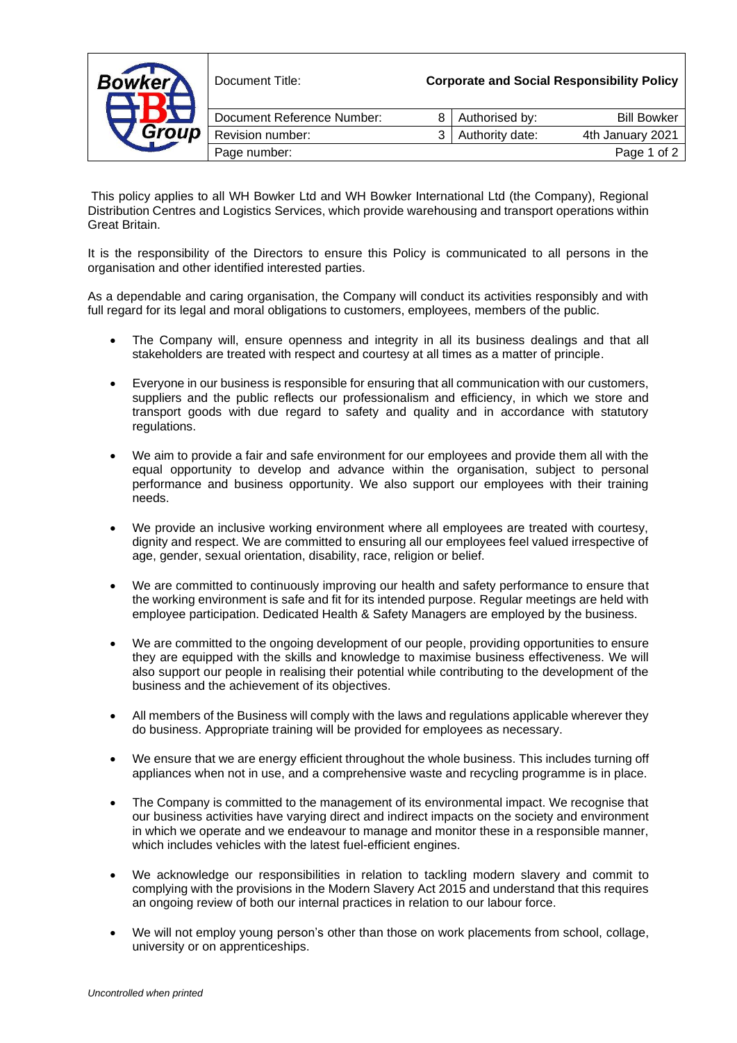| <b>Bowker</b><br>Group | Document Title:            |   | <b>Corporate and Social Responsibility Policy</b> |                    |
|------------------------|----------------------------|---|---------------------------------------------------|--------------------|
|                        | Document Reference Number: | 8 | Authorised by:                                    | <b>Bill Bowker</b> |
|                        | Revision number:           | ર | Authority date:                                   | 4th January 2021   |
|                        | Page number:               |   |                                                   | Page 1 of 2        |

This policy applies to all WH Bowker Ltd and WH Bowker International Ltd (the Company), Regional Distribution Centres and Logistics Services, which provide warehousing and transport operations within Great Britain.

It is the responsibility of the Directors to ensure this Policy is communicated to all persons in the organisation and other identified interested parties.

As a dependable and caring organisation, the Company will conduct its activities responsibly and with full regard for its legal and moral obligations to customers, employees, members of the public.

- The Company will, ensure openness and integrity in all its business dealings and that all stakeholders are treated with respect and courtesy at all times as a matter of principle.
- Everyone in our business is responsible for ensuring that all communication with our customers, suppliers and the public reflects our professionalism and efficiency, in which we store and transport goods with due regard to safety and quality and in accordance with statutory regulations.
- We aim to provide a fair and safe environment for our employees and provide them all with the equal opportunity to develop and advance within the organisation, subject to personal performance and business opportunity. We also support our employees with their training needs.
- We provide an inclusive working environment where all employees are treated with courtesy, dignity and respect. We are committed to ensuring all our employees feel valued irrespective of age, gender, sexual orientation, disability, race, religion or belief.
- We are committed to continuously improving our health and safety performance to ensure that the working environment is safe and fit for its intended purpose. Regular meetings are held with employee participation. Dedicated Health & Safety Managers are employed by the business.
- We are committed to the ongoing development of our people, providing opportunities to ensure they are equipped with the skills and knowledge to maximise business effectiveness. We will also support our people in realising their potential while contributing to the development of the business and the achievement of its objectives.
- All members of the Business will comply with the laws and regulations applicable wherever they do business. Appropriate training will be provided for employees as necessary.
- We ensure that we are energy efficient throughout the whole business. This includes turning off appliances when not in use, and a comprehensive waste and recycling programme is in place.
- The Company is committed to the management of its environmental impact. We recognise that our business activities have varying direct and indirect impacts on the society and environment in which we operate and we endeavour to manage and monitor these in a responsible manner, which includes vehicles with the latest fuel-efficient engines.
- We acknowledge our responsibilities in relation to tackling modern slavery and commit to complying with the provisions in the Modern Slavery Act 2015 and understand that this requires an ongoing review of both our internal practices in relation to our labour force.
- We will not employ young person's other than those on work placements from school, collage, university or on apprenticeships.